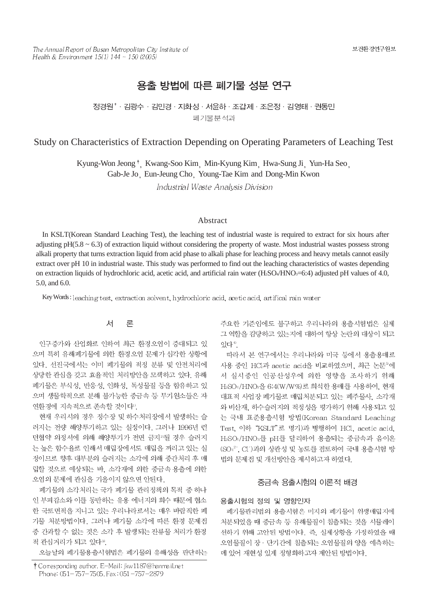# 용출 방법에 따른 폐기물 성분 연구

정경원<sup>\*</sup> · 김광수 · 김민경 · 지화성 · 서윤하 · 조갑제 · 조은정 · 김영태 · 권동민 폐기물분석과

## Study on Characteristics of Extraction Depending on Operating Parameters of Leaching Test

Kyung-Won Jeong<sup>†</sup>, Kwang-Soo Kim, Min-Kyung Kim, Hwa-Sung Ji, Yun-Ha Seo, Gab-Je Jo Eun-Jeung Cho Young-Tae Kim and Dong-Min Kwon Industrial Waste Analysis Division

#### Abstract

In KSLT(Korean Standard Leaching Test), the leaching test of industrial waste is required to extract for six hours after adjusting  $pH(5.8 \sim 6.3)$  of extraction liquid without considering the property of waste. Most industrial wastes possess strong alkali property that turns extraction liquid from acid phase to alkali phase for leaching process and heavy metals cannot easily extract over pH 10 in industrial waste. This study was performed to find out the leaching characteristics of wastes depending on extraction liquids of hydrochloric acid, acetic acid, and artificial rain water (H2SO4/HNO3=6:4) adjusted pH values of 4.0, 5.0, and 6.0.

Key Words: leaching test, extraction solvent, hydrochloric acid, acetic acid, artifical rain water

#### 서 론

인구증가와 산업화로 인하여 최근 환경오염이 증대되고 있 으며 특히 유해폐기물에 의한 환경오염 문제가 심각한 상황에 있다. 선진국에서는 이미 폐기물의 적정 분류 및 안전처리에 상당한 관심을 갖고 효율적인 처리방안을 모색하고 있다. 유해 폐기물은 부식성, 반응성, 인화성, 독성물질 등을 함유하고 있 으며 생물학적으로 분해 불가능한 중금속 등 무기원소들은 자 연환경에 지속적으로 존속할 것이다".

현재 우리시의 경우 정수장 및 하수처리장에서 발생하는 슬 러지는 전량 해양투기하고 있는 실정이다. 그러나 1996년 런 던협약 의정서에 의해 해양투기가 전면 금지2>될 경우 슬러지 는 높은 함수율로 인해서 매립장에서도 매립을 꺼리고 있는 실 정이므로 향후 대부분의 슬러지는 소각에 의해 중간처리 후 매 립할 것으로 예상되는 바, 소각재에 의한 중금속 용출에 의한 오염의 문제에 관심을 기울이지 않으면 안된다.

폐기물의 소각처리는 국가 폐기물 관리정책의 목적 중 하나 인 부피감소와 이를 동반하는 유용 에너지의 회수 때문에 협소 한 국토면적을 지니고 있는 우리나라로서는 매우 바람직한 폐 기물 처분방법이다. 그러나 폐기물 소각에 따른 환경 문제점 중 간과할 수 없는 것은 소각 후 발생되는 잔류물 처리가 환경 적 관심거리가 되고 있다<sup>30</sup>.

오늘날의 폐기물용출시험법은 폐기물의 유해성을 판단하는

주요한 기준임에도 불구하고 우리나라의 용출시험법은 실제 그 역할을 감당하고 있는지에 대하여 항상 논란의 대상이 되고 잎다<sup>4)</sup>

따라서 본 연구에서는 우리나라와 미국 등에서 용출용매로 사용 중인 HCl과 acetic acid을 비교하였으며, 최근 논문<sup>5</sup>에 서 실시중인 인공산성우에 의한 영향을 조사하기 위해 H2SO4/HNO3을 6:4(W/W%)로 희석한 용매를 사용하여, 현재 대표적 사업장 폐기물로 매립처분되고 있는 폐주물사, 소각재 와 비산재, 하수슬러지의 적정성을 평가하기 위해 사용되고 있 는 국내 표준용출시험 방법(Korean Standard Leaching Test, 이하 "KSLT"로 명기)과 병행하여 HCl, acetic acid, H2SO4/HNO3를 pH를 달리하여 용출되는 중금속과 음이온 (SO4<sup>2-</sup>, Cl<sup>-</sup>)과의 상관성 및 농도를 검토하여 국내 용출시험 방 법의 문제점 및 개선방안을 제시하고자 하였다.

### 중금속 용출시험의 이론적 배경

용출시험의 정의 및 영향인자

폐기물관리법의 용출시험은 미지의 폐기물이 위생매립지에 처분되었을 때 중금속 등 유해물질이 침출되는 것을 시뮬레이 션하기 위해 고안된 방법이다. 즉, 실제상황을 가정하였을 때 오염물질이 장 · 단기간에 침출되는 오염물질의 양을 예측하는 데 있어 재현성 있게 정형화하고자 제안된 방법이다.

<sup>†</sup> Corresponding author. E-Mail: jkw1187@hanmail.net Phone: 051-757-7505, Fax: 051-757-2879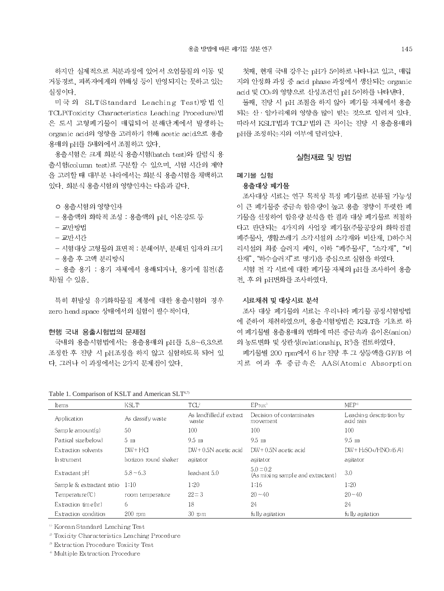하지만 실제적으로 처분과정에 있어서 오염물질의 이동 및 거동경로, 피폭자에게의 위해성 등이 반영되지는 못하고 있는 실정이다.

미국의 SLT(Standard Leaching Test)방법인 TCLP(Toxicity Characteristics Leaching Procedure)법 은 도시 고형폐기물이 매립되어 분해단계에서 발생하는 organic acid의 영향을 고려하기 위해 acetic acid으로 용출 용매의 pH를 5내외에서 조절하고 있다.

용출시험은 크게 회분식 용출시험(batch test)와 칼럼식 용 출시험(column test)로 구분할 수 있으며, 시험 시간의 제약 을 고려할 때 대부분 나라에서는 회분식 용출시험을 채택하고 있다. 회분식 용출시험의 영향인자는 다음과 같다.

- 용출액의 화학적 조성 : 용출액의 pH. 이온강도 등
- 교반방법
- 교반시간
- 시험대상 고형물의 표면적 : 분쇄여부, 분쇄된 입자의 크기 - 용출 후 고액 분리방식
- 용출 용기 : 용기 자체에서 용해되거나, 용기에 침전(흡 착)될 수 있음.

특히 휘발성 유기화학물질 계통에 대한 용출시험의 경우 zero head space 상태에서의 실험이 필수적이다.

#### 현행 국내 용출시험법의 문제점

국내의 용출시험법에서는 용출용매의 pH를 5.8~6.3으로 조정한 후 진탕 시 pH조정을 하지 않고 실험하도록 되어 있 다. 그러나 이 과정에서는 2가지 문제전이 있다.

Table 1. Comparison of KSLT and American SLT<sup>6,7)</sup>

첫째, 현재 국내 강우는 pH가 5이하로 나타나고 있고, 매립 지의 안정화 과정 중 acid phase 과정에서 생산되는 organic acid 및 CO2의 영향으로 산성조건인 pH 5이하를 나타낸다.

둘째, 진탕 시 pH 조절을 하지 않아 폐기물 자체에서 용출 되는 산 · 알카리제의 영향을 많이 받는 것으로 알려져 있다. 따라서 KSLT법과 TCLP 법의 큰 차이는 진탕 시 용출용매의 pH를 조정하는지의 여부에 달려있다.

#### 실험재료 및 방법

#### 폐기물 실험

#### 용출대상 폐기물

조사대상 시료는 연구 목적상 특정 폐기물로 분류될 가능성 이 큰 폐기물중 중금속 함유량이 높고 용출 경향이 뚜렷한 폐 기물을 선정하여 함유량 분석을 한 결과 대상 폐기물로 적절하 다고 판단되는 4가지의 사업장 폐기물(주물공장의 화학점결 폐주물사, 생활쓰레기 소각시설의 소각재와 비산재, D하수처 리시설의 최종 슬러지 케익, 이하 "폐주물사", "소각재", "비 산재", "하수슬러지"로 명기)을 중심으로 실험을 하였다.

시험 전 각 시료에 대한 폐기물 자체의 pH를 조사하여 용출 전, 후 의 pH변화를 조사하였다.

#### 시료채취 및 대상시료 분석

조사 대상 폐기물의 시료는 우리나라 폐기물 공정시험방법 에 준하여 채취하였으며, 용출시험방법은 KSLT을 기초로 하 여 폐기물별 용출용매의 변화에 따른 중금속과 음이온(anion) 의 농도변화 및 상관성(relationship, R<sup>9</sup>을 검토하였다.

폐기물별 200 rpm에서 6 hr 진탕 후 그 상등액을 GF/B 여 지로 여과 후 중금속은 AAS(Atomic Absorption

| Items                     | <b>KSLT</b>          | $TCL^2$                            | EPTOX <sup>3</sup>                               | MEP <sup>1</sup>                     |
|---------------------------|----------------------|------------------------------------|--------------------------------------------------|--------------------------------------|
| Application               | As dassify waste     | As landfilled, if extract<br>waste | Decision of contaminates<br>movement             | Leaching description by<br>acid rain |
| Samp le amount $(g)$      | 50                   | 100                                | 100                                              | 100                                  |
| Partical size (below)     | $5 \text{ m}$        | $9.5$ mm                           | $9.5$ mm                                         | 9.5 mm                               |
| Extraction solvents       | $DW + HCl$           | $DW + 0.5N$ acetic acid            | $DW + 0.5N$ acetic acid                          | $DW + H2SO4/HNO3(6/4)$               |
| In strument               | horizon round shaker | agitator                           | agitator                                         | agitator                             |
| Extractant pH             | $5.8 - 6.3$          | leach ant 5.0                      | $5.0 = 0.2$<br>(As mixing sample and extractant) | 3.0                                  |
| Sample & extractant ratio | 1:10                 | 1:20                               | 1:16                                             | 1:20                                 |
| $Temperature(\mathbb{C})$ | room temperature     | $22 \equiv 3$                      | $20 - 40$                                        | $20 - 40$                            |
| Extraction $time(hr)$     | 6                    | 18                                 | 24                                               | 24                                   |
| Extraction condition      | $200$ rpm            | $30 \text{ pm}$                    | fully agitation                                  | fully agitation                      |

<sup>13</sup> Korean Standard Leaching Test

<sup>2</sup> Toxicity Characteristics Leaching Procedure

<sup>3</sup> Extraction Procedure Toxicity Test

<sup><sup>+</sup></sup> Multiple Extraction Procedure

ㅇ 용출시험의 영향인자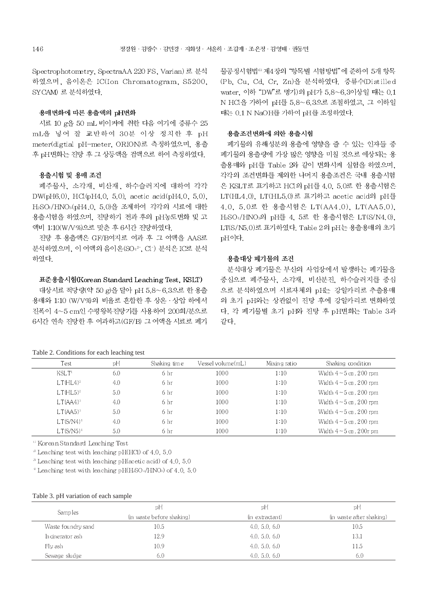Spectrophotometry, SpectraAA 220 FS, Varian) 로 분석 하였으며, 음이온은 IC(Ion Chromatogram, S5200, SYCAM) 로 분석하였다.

#### 용매변화에 따른 용출액의 pH변화

시료 10 g을 50 mL 비이커에 취한 다음 여기에 증류수 25 mL을 넣어 잘 교반하여 30분 이상 정치한 후 pH meter(digtial pH-meter, ORION)로 측정하였으며, 용출 후 pH 변화는 진탕 후 그 상등액을 검액으로 하여 측정하였다.

#### 용출시험 및 용매 조건

폐주물사, 소각재, 비산재, 하수슬러지에 대하여 각각 DW(pH6.0), HCl(pH4.0, 5.0), acetic acid(pH4.0, 5.0), H2SO4/HNO3(pH4.0, 5.0)을 조제하여 각각의 시료에 대한 용출시험을 하였으며, 진탕하기 전과 후의 pH농도변화 및 고 액비 1:10(W/V%)으로 맞춘 후 6시간 진탕하였다.

진탕 후 용출액은 GF/B여지로 여과 후 그 여액을 AAS로 분석하였으며, 이 여액의 음이온(SO42-, Cl-) 분석은 IC로 분석 하였다.

#### 표준용출시험(Korean Standard Leaching Test, KSLT)

대상시료 적당량(약 50 g)을 달아 pH 5.8~6.3으로 한 용출 용매와 1:10 (W/V%)의 비율로 혼합한 후 상온 · 상압 하에서 진폭이 4~5 cm인 수평왕복진탕기를 사용하여 200회/분으로 6시간 연속 진탕한 후 여과하고(GF/B) 그 여액을 시료로 폐기 물공정시험법<sup>6</sup> 제4장의 "항목별 시험방법"에 준하여 5개 항목 (Pb, Cu, Cd, Cr, Zn)을 분석하였다. 증류수(Distilled water, 이하 "DW"로 명기)의 pH가 5.8~6.3이상일 때는 0.1 N HCl을 가하여 pH를 5.8~6.3으로 조절하였고, 그 이하일 때는 0.1 N NaOH를 가하여 pH를 조정하였다.

#### 용출조건변화에 의한 용출시험

폐기물의 유해성분의 용출에 영향을 줄 수 있는 인자들 중 폐기물의 용출량에 가장 많은 영향을 미칠 것으로 예상되는 용 출용매와 pH를 Table 2와 같이 변화시켜 실험을 하였으며, 각각의 조건변화를 제외한 나머지 용출조건은 국내 용출시험 은 KSLT로 표기하고 HCl의 pH를 4.0, 5.0로 한 용출시험은 LT(HL4.0), LT(HL5.0)로 표기하고 acetic acid의 pH를 4.0. 5.0로 한 용출시험은 LT(AA4.0), LT(AA5.0). H2SO4/HNO3의 pH를 4, 5로 한 용출시험은 LT(S/N4.0), LT(S/N5.0)로 표기하였다. Table 2의 pH는 용출용매의 초기 pH이다.

#### 용출대상 폐기물의 조건

분석대상 폐기물은 부산의 사업장에서 발생하는 폐기물을 중심으로 폐주물사, 소각재, 비산분진, 하수슬러지를 중심 으로 분석하였으며 시료자체의 pH는 강알카리로 추출용매 의 초기 pH와는 상관없이 진탕 후에 강알카리로 변화하였 다. 각 폐기물별 초기 pH와 진탕 후 pH변화는 Table 3과 같다.

| рH<br>Test<br>Vessel volume(mL)<br>Shaking time<br>Mixing ratio<br>KSLT <sup>1</sup><br>6.0<br>1000<br>1:10<br>6 hr |                                |
|---------------------------------------------------------------------------------------------------------------------|--------------------------------|
|                                                                                                                     | Shaking condition              |
|                                                                                                                     | Width $4 \sim 5$ cm, 200 rpm   |
| LT(HL4) <sup>2</sup><br>4.0<br>1000<br>6 <sub>hr</sub><br>1:10                                                      | Width $4 - 5$ cm, $200$ rpm    |
| $LT(HL5)^2$<br>5.0<br>1000<br>6 <sub>hr</sub><br>1:10                                                               | Width $4-5$ cm, $200$ rpm      |
| $LT(AA4)^3$<br>4.0<br>1000<br>1:10<br>6 hr                                                                          | Width $4 \sim 5$ cm, 200 rpm   |
| $LT(AA5)^3$<br>5.0<br>1000<br>1:10<br>6 hr                                                                          | Width $4 - 5$ cm, $200$ rpm    |
| $LT(S/N4)^1$<br>4.0<br>6 hr<br>1000<br>1:10                                                                         | Width $4 - 5$ cm, $200$ rpm    |
| $LT(S/NS)^{1}$<br>1000<br>5.0<br>6 hr<br>1:10                                                                       | Width $4 \sim 5$ cm, $200r$ pm |

Table 2. Conditions for each leaching test

 $\,$ <sup>0</sup> Korean Standard Leaching Test

 $\degree$  Leaching test with leaching pH(HCl) of 4.0, 5.0

 $^3$  Leaching test with leaching pH(acetic acid) of 4.0, 5.0

 $^{\circ}$  Leaching test with leaching pH(HsO4/HNOs) of 4.0, 5.0

#### Table 3. pH variation of each sample

| Samp les           | pH                        | рH              | рH                       |
|--------------------|---------------------------|-----------------|--------------------------|
|                    | (in waste before shaking) | (in extractant) | (in waste after shaking) |
| Waste foundry sand | 10.5                      | 4.0, 5.0, 6.0   | 10.5                     |
| In cinerator ash   | 12.9                      | 4.0, 5.0, 6.0   | 13.1                     |
| $Hv$ ash           | 10.9                      | 4.0, 5.0, 6.0   | 11.5                     |
| Sewage sludge      | 6.0                       | 4.0, 5.0, 6.0   | 6.0                      |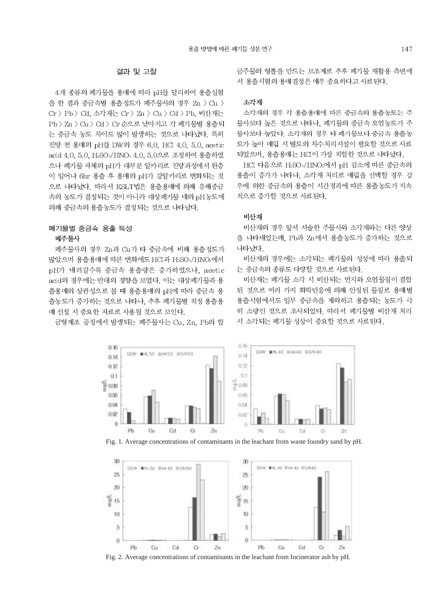### 결과 및 고찰

4개 종류의 폐기물을 용매에 따라 pH를 달리하여 용출실험 을 한 결과 중금속별 용출정도가 폐주물사의 경우 Zn > Cu > Cr > Pb > Cd. 소각재는 Cr > Zn > Cu > Cd > Pb. 비산재는 Pb > Zn > Cu > Cd > Cr 순으로 낮아지고 각 폐기물별 용출되 는 중금속 농도 차이도 많이 발생하는 것으로 나타났다. 특히 진탕 전 용매의 pH를 DW의 경우 6.0, HCl 4.0, 5.0, acetic acid 4.0, 5.0, H2SO4/HNO3 4.0, 5.0으로 조정하여 용출하였 으나 폐기물 자체의 pH가 대부분 알카리로 진탕과정에서 완충 이 일어나 6hr 용출 후 용매의 pH가 강알카리로 변화되는 것 으로 나타났다. 따라서 KSLT법은 용출용매에 의해 유해중금 속의 농도가 결정되는 것이 아니라 대상폐기물 내의 pH농도에 의해 중금속의 용출농도가 결정되는 것으로 나타났다.

### 폐기물별 중금속 용출 특성 폐주물사

폐주물사의 경우 Zn과 Cu가 타 중금속에 비해 용출정도가 많았으며 용출용매에 따른 변화에도 HCI과 H2SO4/HNO3에서 pH가 내려갈수록 중금속 용출량은 증가하였으나. acetic acid의 경우에는 반대의 경향을 보였다. 이는 대상폐기물과 용 출용매의 상관성으로 볼 때 용출용매의 pH에 따라 중금속 용 출농도가 증가하는 것으로 나타나. 추후 폐기물별 적정 용출용 매 선정 시 중요한 자료로 사용될 것으로 보인다.

금형제조 공정에서 발생되는 폐주물사는 Cu, Zn, Pb의 합

금주물의 형틀을 만드는 보조제로 추후 폐기물 재활용 측면에 서 용출시험의 용매결정은 매우 중요하다고 사료된다.

#### 소각재

소각재의 경우 각 용출용매에 따른 중금속의 용출농도는 주 물사보다 높은 것으로 나타나, 폐기물의 중금속 오염농도가 주 물사보다 높았다. 소각재의 경우 타 폐기물보다 중금속 용출농 도가 높아 매립 시 별도의 차수처리시설이 필요할 것으로 사료 되었으며, 용출용매는 HCl이 가장 적합한 것으로 나타났다.

HCl 다음으로 H2SO4/HNO3에서 pH 감소에 따른 중금속의 용출이 증가가 나타나. 소각재 처리로 매립을 선택할 경우 강 우에 의한 중금속의 용출이 시간경과에 따른 용출농도가 지속 적으로 증가할 것으로 사료된다.

### 비산재

비산재의 경우 앞서 서술한 주물사와 소각재와는 다른 양상 을 나타내었는데, Pb과 Zn에서 용출농도가 증가하는 것으로 나타났다

비산재의 경우에는 소각되는 폐기물의 성상에 따라 용출되 는 중금속의 종류도 다양할 것으로 사료된다.

비산재는 폐기물 소각 시 비산되는 먼지와 오염물질이 결합 된 것으로 여러 가지 화학반응에 의해 안정된 물질로 용매별 용출시험에서도 일부 중금속을 제외하고 용출되는 농도가 극 히 소량인 것으로 조사되었다. 따라서 폐기물별 비산재 처리 시 소각되는 폐기물 성상이 중요할 것으로 사료된다.







Fig. 2. Average concentrations of contaminants in the leachant from Incinerator ash by pH.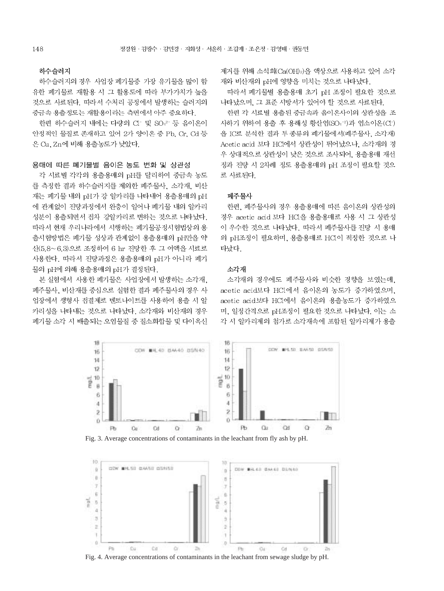### 하수슬러지

하수슬러지의 경우 사업장 폐기물중 가장 유기물을 많이 함 유한 폐기물로 재활용 시 그 활용도에 따라 부가가치가 높을 것으로 사료된다. 따라서 수처리 공정에서 발생하는 슬러지의 중금속 용출정도는 재활용이라는 측면에서 아주 중요하다.

한편 하수슬러지 내에는 다량의 Cl- 및 SO<sub>4</sub>2- 등 음이온이 안정적인 물질로 존재하고 있어 2가 양이온 중 Pb, Cr, Cd 등 은 Cu. Zn에 비해 용출농도가 낮았다.

#### 용매에 따른 폐기물별 음이온 농도 변화 및 상관성

각 시료별 각각의 용출용매의 pH를 달리하여 중금속 농도 를 측정한 결과 하수슬러지를 제외한 폐주물사, 소각재, 비산 재는 폐기물 내의 pH가 강 알카리를 나타내어 용출용매의 pH 에 관계없이 진탕과정에서 완충이 일어나 폐기물 내의 알카리 성분이 용출되면서 전차 강알카리로 변하는 것으로 나타났다. 따라서 현재 우리나라에서 시행하는 폐기물공정시험법상의 용 출시험방법은 폐기물 성상과 관계없이 용출용매의 pH만을 약 산(5.8~6.3)으로 조정하여 6 hr 진탕한 후 그 여액을 시료로 사용한다. 따라서 진탕과정은 용출용매의 pH가 아니라 폐기 물의 pH에 의해 용출용매의 pH가 결정된다.

본 실험에서 사용한 폐기물은 사업장에서 발생하는 소각재. 폐주물사, 비산재를 중심으로 실험한 결과 폐주물사의 경우 사 업장에서 생형사 점결제로 벤토나이트를 사용하여 용출 시 알 카리성을 나타내는 것으로 나타났다. 소각재와 비산재의 경우 폐기물 소각 시 배출되는 오염물질 중 질소화합물 및 다이옥신

제거를 위해 소석회(Ca(OH)2)을 액상으로 사용하고 있어 소각 재와 비산재의 pH에 영향을 미치는 것으로 나타났다.

따라서 폐기물별 용출용매 초기 pH 조정이 필요한 것으로 나타났으며, 그 표준 시방서가 있어야 할 것으로 사료된다.

한편 각 시료별 용출된 중금속과 음이온사이의 상관성을 조 사하기 위하여 용출 후 용해성 황산염(SO4-2)과 염소이온(CI-) 을 IC로 분석한 결과 두 종류의 폐기물에서(폐주물사, 소각재) Acetic acid 보다 HCl에서 상관성이 뛰어났으나, 소각재의 경 우 상대적으로 상관성이 낮은 것으로 조사되어, 용출용매 재선 정과 진탕 시 2차례 정도 용출용매의 pH 조정이 필요할 것으 로 사료된다.

### 폐주물사

한편, 폐주물사의 경우 용출용매에 따른 음이온의 상관성의 경우 acetic acid 보다 HCl을 용출용매로 사용 시 그 상관성 이 우수한 것으로 나타났다. 따라서 폐주물사를 진탕 시 용매 의 pH조정이 필요하며, 용출용매로 HCl이 적정한 것으로 나 타났다.

#### 소각재

소각재의 경우에도 폐주물사와 비슷한 경향을 보였는데. acetic acid보다 HCl에서 음이온의 농도가 증가하였으며, acetic acid보다 HCl에서 음이온의 용출농도가 증가하였으 며, 일정간격으로 pH조정이 필요한 것으로 나타났다. 이는 소 각 시 알카리제의 첨가로 소각재속에 포함된 알카리제가 용출



Fig. 3. Average concentrations of contaminants in the leachant from fly ash by pH.



Fig. 4. Average concentrations of contaminants in the leachant from sewage sludge by pH.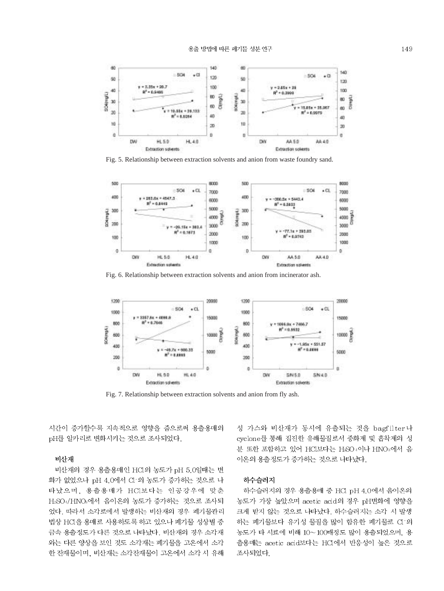

Fig. 5. Relationship between extraction solvents and anion from waste foundry sand.



Fig. 6. Relationship between extraction solvents and anion from incinerator ash.



Fig. 7. Relationship between extraction solvents and anion from fly ash.

시간이 증가할수록 지속적으로 영향을 줌으로써 용출용매의 pH를 알카리로 변화시키는 것으로 조사되었다.

#### 비산재

비산재의 경우 용출용매인 HCl의 농도가 pH 5.0일때는 변 화가 없었으나 pH 4.0에서 CI-의 농도가 증가하는 것으로 나 타났으며, 용출용매가 HCl보다는 인공강우에 맞춘 H2SO4/HNO2에서 음이온의 농도가 증가하는 것으로 조사되 었다. 따라서 소각로에서 발생하는 비산재의 경우 폐기물관리 법상 HCl을 용매로 사용하도록 하고 있으나 폐기물 성상별 중 금속 용출정도가 다른 것으로 나타났다. 비산재의 경우 소각재 와는 다른 양상을 보인 것도 소각재는 폐기물을 고온에서 소각 한 잔재물이며, 비산재는 소각잔재물이 고온에서 소각 시 유해

성 가스와 비산재가 동시에 유출되는 것을 bagfilter나 cyclone를 통해 집진한 유해물질로서 중화제 및 흡착제의 성 분 또한 포함하고 있어 HCl보다는 HsO4이나 HNO3에서 음 이온의 용출정도가 증가하는 것으로 나타났다.

### 하수슬러지

하수슬러지의 경우 용출용매 중 HCl pH 4.0에서 음이온의 농도가 가장 높았으며 acetic acid의 경우 pH변화에 영향을 크게 받지 않는 것으로 나타났다. 하수슬러지는 소각 시 발생 하는 폐기물보다 유기성 물질을 많이 함유한 폐기물로 CI-의 농도가 타 시료에 비해 10~100배정도 많이 용출되었으며, 용 출용매는 acetic acid보다는 HCl에서 반응성이 높은 것으로 조사되었다.